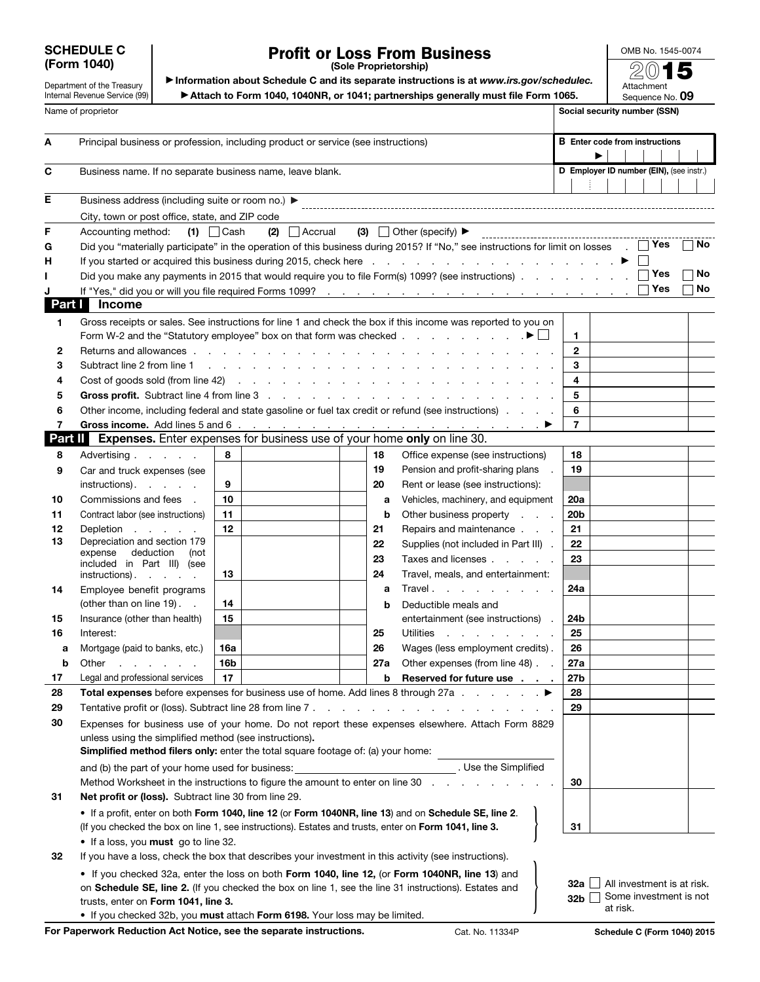## SCHEDULE C

## Profit or Loss From Business

(Sole Proprietorship)

OMB No. 1545-0074

Attachment Sequence No. 09

| Department of the Treasury    |
|-------------------------------|
| Internal Revenue Service (99) |
|                               |

(Form 1040)<br>
▶ Information about Schedule C and its separate instructions is at *www.irs.gov/schedulec.*<br>
Department of the Treasury ▶ Information about Schedule C and its separate instructions is at *www.irs.gov/schedule* 

▶ Attach to Form 1040, 1040NR, or 1041; partnerships generally must file Form 1065.

Name of proprietor SSN) Social security number (SSN) A Principal business or profession, including product or service (see instructions) B Enter code from instructions ▶ - 1 C Business name. If no separate business name, leave blank. Determines the control of the mumber (EIN), (see instr.) E Business address (including suite or room no.) ▶ City, town or post office, state, and ZIP code F Accounting method: (1)  $\Box$  Cash (2)  $\Box$  Accrual (3)  $\Box$  Other (specify)  $\blacktriangleright$ G Did you "materially participate" in the operation of this business during 2015? If "No," see instructions for limit on losses . No H If you started or acquired this business during 2015, check here  $\ldots$  .  $\ldots$  . . . . . . . . . . . . .  $\blacktriangleright$ I Did you make any payments in 2015 that would require you to file Form(s) 1099? (see instructions) . . . . . . . . . . . No J If "Yes," did you or will you file required Forms 1099? . . . . . . . . . . . . . . . . . . . . . Yes No Part I Income 1 Gross receipts or sales. See instructions for line 1 and check the box if this income was reported to you on Form W-2 and the "Statutory employee" box on that form was checked . . . . . . . . . . .  $\mathbf{F} \Box \mathbf{1}$ 2 Returns and allowances . . . . . . . . . . . . . . . . . . . . . . . . . 2 3 Subtract line 2 from line 1 . . . . . . . . . . . . . . . . . . . . . . . . 3 4 Cost of goods sold (from line 42) . . . . . . . . . . . . . . . . . . . . . . 4 5 Gross profit. Subtract line 4 from line 3 . . . . . . . . . . . . . . . . . . . . 5 6 Other income, including federal and state gasoline or fuel tax credit or refund (see instructions) . . . . 6 7 Gross income. Add lines 5 and 6 . . . . . . . . . . . . . . . . . . . . . ▶ 7 Part II Expenses. Enter expenses for business use of your home only on line 30. 8 Advertising . . . . . 8 18 Office expense (see instructions) | 18 19 Pension and profit-sharing plans . 19 9 Car and truck expenses (see instructions).  $\blacksquare$  . . . . 9 20 Rent or lease (see instructions): 10 Commissions and fees . 10 a Vehicles, machinery, and equipment 20a 11 Contract labor (see instructions) 11 **b** Other business property . . . 20b 12 Depletion . . . . 12 21 Repairs and maintenance . . . 21 13 Depreciation and section 179 22 Supplies (not included in Part III) . 22 expense deduction (not 23 Taxes and licenses . . . . . 23 included in Part III) (see 24 Travel, meals, and entertainment: instructions)  $\therefore$  13 14 Employee benefit programs **a** Travel . . . . . . . . . 24a (other than on line 19).  $\blacksquare$  14 **b** Deductible meals and 15 Insurance (other than health) 15 entertainment (see instructions) . 24b 25 Utilities . . . . . . . . 25 16 Interest: 26 Wages (less employment credits). 26 a Mortgage (paid to banks, etc.) 16a **b** Other . . . . . 16b **27a** Other expenses (from line 48)  $\therefore$  27a 17 Legal and professional services | 17 b Reserved for future use  $\blacksquare$ . . 27b 28 Total expenses before expenses for business use of home. Add lines 8 through 27a  $\ldots$   $\blacktriangleright$  28 29 Tentative profit or (loss). Subtract line 28 from line 7 . . . . . . . . . . . . . . . . . 29 30 Expenses for business use of your home. Do not report these expenses elsewhere. Attach Form 8829 unless using the simplified method (see instructions). Simplified method filers only: enter the total square footage of: (a) your home: and (b) the part of your home used for business: . . . . . . . . . . . . . . . . Use the Simplified Method Worksheet in the instructions to figure the amount to enter on line  $30$  . . . . . . . . . . 30 31 Net profit or (loss). Subtract line 30 from line 29. • If a profit, enter on both Form 1040, line 12 (or Form 1040NR, line 13) and on Schedule SE, line 2. (If you checked the box on line 1, see instructions). Estates and trusts, enter on Form 1041, line 3. } <sup>31</sup> • If a loss, you must go to line 32. 32 If you have a loss, check the box that describes your investment in this activity (see instructions). • If you checked 32a, enter the loss on both Form 1040, line 12, (or Form 1040NR, line 13) and 32a □ All investment is at risk.<br>32b □ Some investment is not on Schedule SE, line 2. (If you checked the box on line 1, see the line 31 instructions). Estates and trusts, enter on Form 1041, line 3. at risk. • If you checked 32b, you must attach Form 6198. Your loss may be limited.